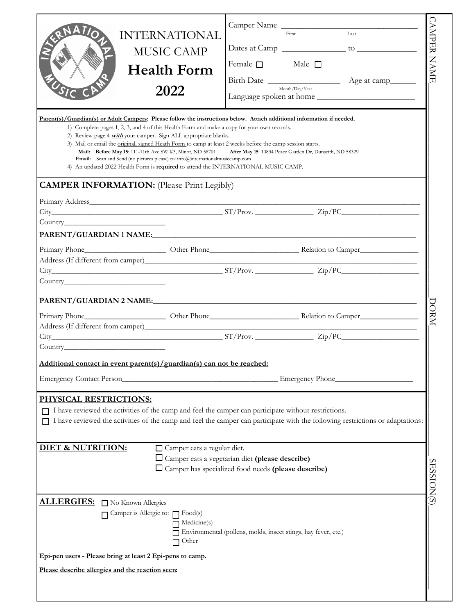|                                                  | <b>INTERNATIONAL</b><br><b>MUSIC CAMP</b><br><b>Health Form</b><br>2022                                                                                                                                                                                                                                                                                                                                                                                                                                                                                                                                                                                                                             | Female $\square$ | Camper Name<br>$\overline{Last}$<br>First<br>Male $\Box$<br>Month/Day/Year | <b>CAMPER NAME</b> |
|--------------------------------------------------|-----------------------------------------------------------------------------------------------------------------------------------------------------------------------------------------------------------------------------------------------------------------------------------------------------------------------------------------------------------------------------------------------------------------------------------------------------------------------------------------------------------------------------------------------------------------------------------------------------------------------------------------------------------------------------------------------------|------------------|----------------------------------------------------------------------------|--------------------|
|                                                  | Parent(s)/Guardian(s) or Adult Campers: Please follow the instructions below. Attach additional information if needed.<br>1) Complete pages 1, 2, 3, and 4 of this Health Form and make a copy for your own records.<br>2) Review page 4 <i>with</i> your camper. Sign ALL appropriate blanks.<br>3) Mail or email the original, signed Heath Form to camp at least 2 weeks before the camp session starts.<br>Mail: Before May 15: 111-11th Ave SW #3, Minot, ND 58701<br>Email: Scan and Send (no pictures please) to: info@internationalmusiccamp.com<br>4) An updated 2022 Health Form is required to attend the INTERNATIONAL MUSIC CAMP.<br><b>CAMPER INFORMATION:</b> (Please Print Legibly) |                  | After May 15: 10834 Peace Garden Dr, Dunseith, ND 58329                    |                    |
|                                                  |                                                                                                                                                                                                                                                                                                                                                                                                                                                                                                                                                                                                                                                                                                     |                  |                                                                            |                    |
|                                                  | $City$ $City$ $Zip/PC$ $Zip/PC$                                                                                                                                                                                                                                                                                                                                                                                                                                                                                                                                                                                                                                                                     |                  |                                                                            |                    |
|                                                  |                                                                                                                                                                                                                                                                                                                                                                                                                                                                                                                                                                                                                                                                                                     |                  |                                                                            |                    |
|                                                  |                                                                                                                                                                                                                                                                                                                                                                                                                                                                                                                                                                                                                                                                                                     |                  |                                                                            |                    |
|                                                  |                                                                                                                                                                                                                                                                                                                                                                                                                                                                                                                                                                                                                                                                                                     |                  |                                                                            |                    |
|                                                  |                                                                                                                                                                                                                                                                                                                                                                                                                                                                                                                                                                                                                                                                                                     |                  |                                                                            |                    |
|                                                  |                                                                                                                                                                                                                                                                                                                                                                                                                                                                                                                                                                                                                                                                                                     |                  |                                                                            | DORM               |
|                                                  | $City$ $S1/Prov.$ $Zip/PC$                                                                                                                                                                                                                                                                                                                                                                                                                                                                                                                                                                                                                                                                          |                  |                                                                            |                    |
|                                                  | Additional contact in event parent(s)/guardian(s) can not be reached:<br>Emergency Contact Person                                                                                                                                                                                                                                                                                                                                                                                                                                                                                                                                                                                                   |                  | Emergency Phone                                                            |                    |
| <b>PHYSICAL RESTRICTIONS:</b>                    | I have reviewed the activities of the camp and feel the camper can participate without restrictions.<br>I have reviewed the activities of the camp and feel the camper can participate with the following restrictions or adaptations:                                                                                                                                                                                                                                                                                                                                                                                                                                                              |                  |                                                                            |                    |
| <b>DIET &amp; NUTRITION:</b>                     | Camper eats a regular diet.<br>$\square$ Camper eats a vegetarian diet (please describe)<br>□ Camper has specialized food needs (please describe)                                                                                                                                                                                                                                                                                                                                                                                                                                                                                                                                                   |                  |                                                                            | <b>SESSION(S)</b>  |
|                                                  |                                                                                                                                                                                                                                                                                                                                                                                                                                                                                                                                                                                                                                                                                                     |                  |                                                                            |                    |
| ALLERGIES: No Known Allergies                    | Camper is Allergic to: Food(s)<br>Medicine(s)<br>Other                                                                                                                                                                                                                                                                                                                                                                                                                                                                                                                                                                                                                                              |                  | Environmental (pollens, molds, insect stings, hay fever, etc.)             |                    |
|                                                  | Epi-pen users - Please bring at least 2 Epi-pens to camp.                                                                                                                                                                                                                                                                                                                                                                                                                                                                                                                                                                                                                                           |                  |                                                                            |                    |
| Please describe allergies and the reaction seen: |                                                                                                                                                                                                                                                                                                                                                                                                                                                                                                                                                                                                                                                                                                     |                  |                                                                            |                    |
|                                                  |                                                                                                                                                                                                                                                                                                                                                                                                                                                                                                                                                                                                                                                                                                     |                  |                                                                            |                    |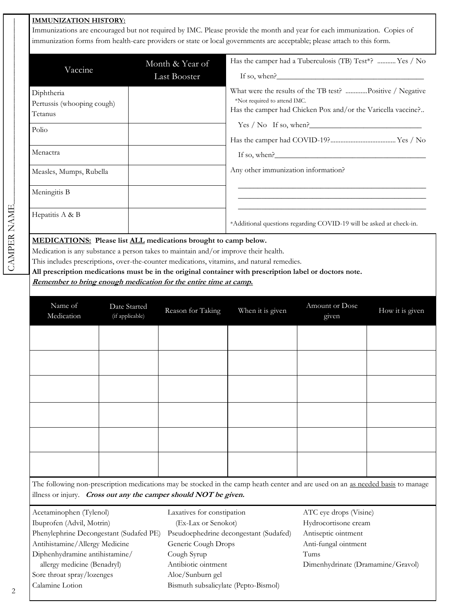## **IMMUNIZATION HISTORY:**

Immunizations are encouraged but not required by IMC. Please provide the month and year for each immunization. Copies of immunization forms from health-care providers or state or local governments are acceptable; please attach to this form.

| Vaccine                                             | Month & Year of<br>Last Booster | Has the camper had a Tuberculosis (TB) Test*?  Yes / No<br>If so, when?                                                                                   |
|-----------------------------------------------------|---------------------------------|-----------------------------------------------------------------------------------------------------------------------------------------------------------|
| Diphtheria<br>Pertussis (whooping cough)<br>Tetanus |                                 | What were the results of the TB test? Positive / Negative<br>*Not required to attend IMC.<br>Has the camper had Chicken Pox and/or the Varicella vaccine? |
| Polio                                               |                                 | $Yes / No$ If so, when?                                                                                                                                   |
| Menactra                                            |                                 | If so, when?                                                                                                                                              |
| Measles, Mumps, Rubella                             |                                 | Any other immunization information?                                                                                                                       |
| Meningitis B                                        |                                 |                                                                                                                                                           |
| Hepatitis A & B                                     |                                 | *Additional questions regarding COVID-19 will be asked at check-in.                                                                                       |

**MEDICATIONS: Please list ALL medications brought to camp below.**

Medication is any substance a person takes to maintain and/or improve their health.

This includes prescriptions, over-the-counter medications, vitamins, and natural remedies.

**All prescription medications must be in the original container with prescription label or doctors note.** 

**Remember to bring enough medication for the entire time at camp.** 

| Name of<br>Medication | Date Started<br>(if applicable) | Reason for Taking | When it is given | Amount or Dose<br>given | How it is given |
|-----------------------|---------------------------------|-------------------|------------------|-------------------------|-----------------|
|                       |                                 |                   |                  |                         |                 |
|                       |                                 |                   |                  |                         |                 |
|                       |                                 |                   |                  |                         |                 |
|                       |                                 |                   |                  |                         |                 |
|                       |                                 |                   |                  |                         |                 |
|                       |                                 |                   |                  |                         |                 |

The following non-prescription medications may be stocked in the camp heath center and are used on an as needed basis to manage illness or injury. **Cross out any the camper should NOT be given.**

| Acetaminophen (Tylenol)                 | Laxatives for constipation             | ATC eye drops (Visine)            |
|-----------------------------------------|----------------------------------------|-----------------------------------|
| Ibuprofen (Advil, Motrin)               | (Ex-Lax or Senokot)                    | Hydrocortisone cream              |
| Phenylephrine Decongestant (Sudafed PE) | Pseudoephedrine decongestant (Sudafed) | Antiseptic ointment               |
| Antihistamine/Allergy Medicine          | Generic Cough Drops                    | Anti-fungal ointment              |
| Diphenhydramine antihistamine/          | Cough Syrup                            | Tums                              |
| allergy medicine (Benadryl)             | Antibiotic ointment                    | Dimenhydrinate (Dramamine/Gravol) |
| Sore throat spray/lozenges              | Aloe/Sunburn gel                       |                                   |
| Calamine Lotion                         | Bismuth subsalicylate (Pepto-Bismol)   |                                   |
|                                         |                                        |                                   |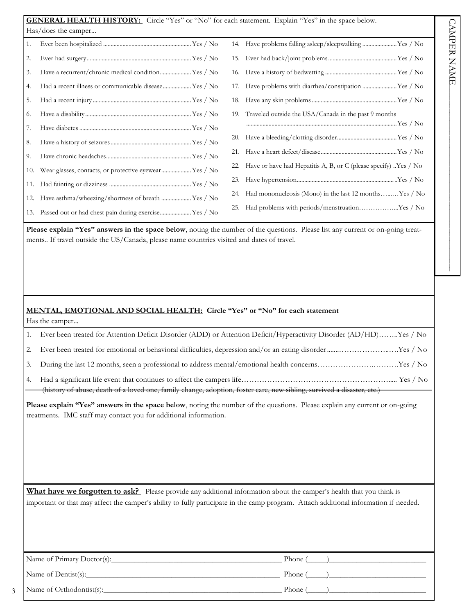|     | <b>GENERAL HEALTH HISTORY:</b> Circle "Yes" or "No" for each statement. Explain "Yes" in the space below. |     |                                                                   |
|-----|-----------------------------------------------------------------------------------------------------------|-----|-------------------------------------------------------------------|
|     | Has/does the camper                                                                                       |     |                                                                   |
| 1.  |                                                                                                           |     | 14. Have problems falling asleep/sleepwalking Yes / No            |
| 2.  |                                                                                                           |     |                                                                   |
| 3.  | Have a recurrent/chronic medical condition Yes / No                                                       |     |                                                                   |
| 4.  | Had a recent illness or communicable disease Yes / No                                                     |     | 17. Have problems with diarrhea/constipation Yes / No             |
| 5.  |                                                                                                           |     |                                                                   |
| 6.  |                                                                                                           |     | 19. Traveled outside the USA/Canada in the past 9 months          |
| 7.  |                                                                                                           |     |                                                                   |
| 8.  |                                                                                                           |     |                                                                   |
| 9.  |                                                                                                           |     |                                                                   |
| 10. | Wear glasses, contacts, or protective eyewear Yes / No                                                    | 22. | Have or have had Hepatitis A, B, or C (please specify) . Yes / No |
|     |                                                                                                           |     |                                                                   |
| 12. | Have asthma/wheezing/shortness of breath  Yes / No                                                        |     | 24. Had mononucleosis (Mono) in the last 12 monthsYes / No        |
|     | 13. Passed out or had chest pain during exercise Yes / No                                                 | 25. | Had problems with periods/menstruationYes / No                    |

Please explain "Yes" answers in the space below, noting the number of the questions. Please list any current or on-going treatments.. If travel outside the US/Canada, please name countries visited and dates of travel.

## **MENTAL, EMOTIONAL AND SOCIAL HEALTH: Circle "Yes" or "No" for each statement** Has the camper...

| 1. | Ever been treated for Attention Deficit Disorder (ADD) or Attention Deficit/Hyperactivity Disorder (AD/HD)Yes / No                                                                                                                                           |
|----|--------------------------------------------------------------------------------------------------------------------------------------------------------------------------------------------------------------------------------------------------------------|
| 2. |                                                                                                                                                                                                                                                              |
| 3. | During the last 12 months, seen a professional to address mental/emotional health concernsYes / No                                                                                                                                                           |
| 4. | (history of abuse, death of a loved one, family change, adoption, foster care, new sibling, survived a disaster, etc.)                                                                                                                                       |
|    | Please explain "Yes" answers in the space below, noting the number of the questions. Please explain any current or on-going<br>treatments. IMC staff may contact you for additional information.                                                             |
|    | What have we forgotten to ask? Please provide any additional information about the camper's health that you think is<br>important or that may affect the camper's ability to fully participate in the camp program. Attach additional information if needed. |

| Name of Primary Doctor(s): | Phone $($ |
|----------------------------|-----------|
| Name of Dentist(s):        | Phone (   |
| Name of Orthodontist(s):   | Phone (   |

3

 $\mathcal{L}_\text{max}$